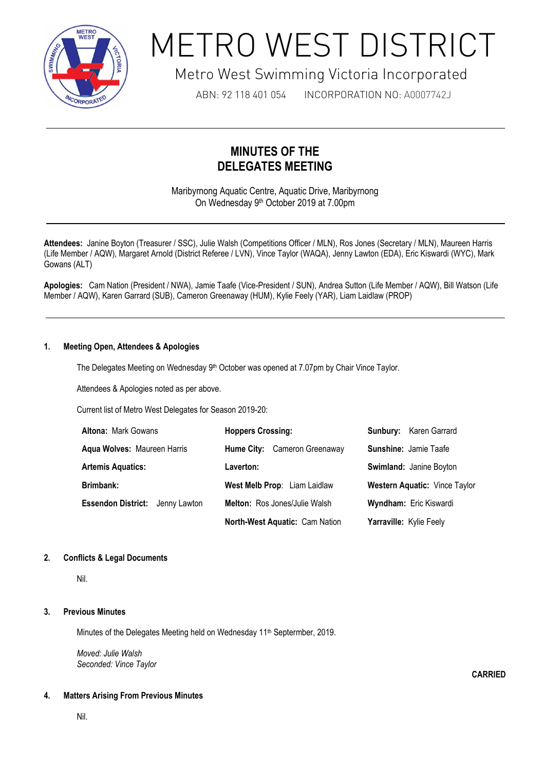

# METRO WEST DISTRICT

# Metro West Swimming Victoria Incorporated

ABN: 92 118 401 054 INCORPORATION NO: A0007742J

# **MINUTES OF THE DELEGATES MEETING**

Maribyrnong Aquatic Centre, Aquatic Drive, Maribyrnong On Wednesday 9<sup>th</sup> October 2019 at 7.00pm

Attendees: Janine Boyton (Treasurer / SSC), Julie Walsh (Competitions Officer / MLN), Ros Jones (Secretary / MLN), Maureen Harris (Life Member / AQW), Margaret Arnold (District Referee / LVN), Vince Taylor (WAQA), Jenny Lawton (EDA), Eric Kiswardi (WYC), Mark Gowans (ALT)

**Apologies:** Cam Nation (President / NWA), Jamie Taafe (Vice-President / SUN), Andrea Sutton (Life Member / AQW), Bill Watson (Life Member / AQW), Karen Garrard (SUB), Cameron Greenaway (HUM), Kylie Feely (YAR), Liam Laidlaw (PROP)

# **1. Meeting Open, Attendees & Apologies**

The Delegates Meeting on Wednesday 9<sup>th</sup> October was opened at 7.07pm by Chair Vince Taylor.

Attendees & Apologies noted as per above.

1

Current list of Metro West Delegates for Season 2019-20:

| <b>Altona: Mark Gowans</b>             | <b>Hoppers Crossing:</b>       | <b>Sunbury:</b> Karen Garrard        |
|----------------------------------------|--------------------------------|--------------------------------------|
| Aqua Wolves: Maureen Harris            | Hume City: Cameron Greenaway   | <b>Sunshine: Jamie Taafe</b>         |
| <b>Artemis Aquatics:</b>               | Laverton:                      | Swimland: Janine Boyton              |
| Brimbank:                              | West Melb Prop: Liam Laidlaw   | <b>Western Aquatic: Vince Taylor</b> |
| <b>Essendon District:</b> Jenny Lawton | Melton: Ros Jones/Julie Walsh  | <b>Wyndham: Eric Kiswardi</b>        |
|                                        | North-West Aquatic: Cam Nation | Yarraville: Kylie Feely              |

### **2. Conflicts & Legal Documents**

Nil.

### **3. Previous Minutes**

Minutes of the Delegates Meeting held on Wednesday 11<sup>th</sup> Septermber, 2019.

*Moved: Julie Walsh Seconded: Vince Taylor*

### **4. Matters Arising From Previous Minutes**

Nil.

**CARRIED**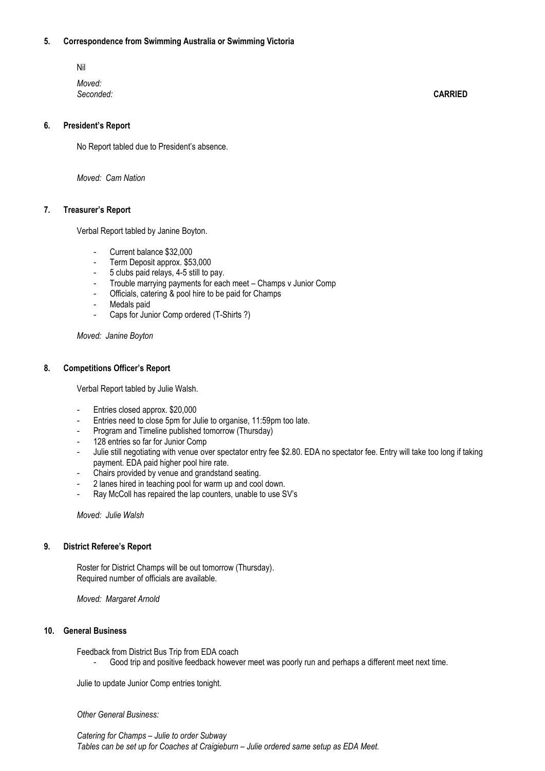#### **5. Correspondence from Swimming Australia or Swimming Victoria**

Nil *Moved: Seconded:* **CARRIED**

## **6. President's Report**

No Report tabled due to President's absence.

*Moved: Cam Nation*

#### **7. Treasurer's Report**

Verbal Report tabled by Janine Boyton.

- Current balance \$32,000
- Term Deposit approx. \$53,000
- 5 clubs paid relays, 4-5 still to pay.
- Trouble marrying payments for each meet Champs v Junior Comp
- Officials, catering & pool hire to be paid for Champs
- Medals paid
- Caps for Junior Comp ordered (T-Shirts ?)

*Moved: Janine Boyton*

#### **8. Competitions Officer's Report**

Verbal Report tabled by Julie Walsh.

- Entries closed approx. \$20,000
- Entries need to close 5pm for Julie to organise, 11:59pm too late.
- Program and Timeline published tomorrow (Thursday)
- 128 entries so far for Junior Comp
- Julie still negotiating with venue over spectator entry fee \$2.80. EDA no spectator fee. Entry will take too long if taking payment. EDA paid higher pool hire rate.
- Chairs provided by venue and grandstand seating.
- 2 lanes hired in teaching pool for warm up and cool down.
- Ray McColl has repaired the lap counters, unable to use SV's

*Moved: Julie Walsh*

#### **9. District Referee's Report**

Roster for District Champs will be out tomorrow (Thursday). Required number of officials are available.

*Moved: Margaret Arnold*

#### **10. General Business**

Feedback from District Bus Trip from EDA coach

Good trip and positive feedback however meet was poorly run and perhaps a different meet next time.

Julie to update Junior Comp entries tonight.

*Other General Business:*

*Catering for Champs – Julie to order Subway Tables can be set up for Coaches at Craigieburn – Julie ordered same setup as EDA Meet.*